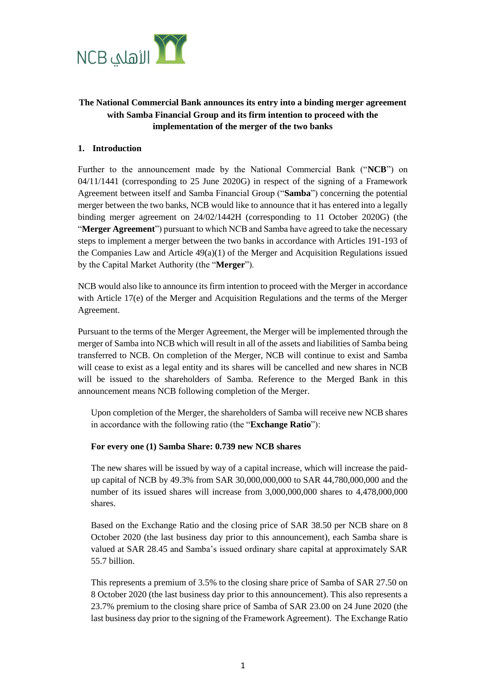

# **The National Commercial Bank announces its entry into a binding merger agreement with Samba Financial Group and its firm intention to proceed with the implementation of the merger of the two banks**

# **1. Introduction**

Further to the announcement made by the National Commercial Bank ("**NCB**") on 04/11/1441 (corresponding to 25 June 2020G) in respect of the signing of a Framework Agreement between itself and Samba Financial Group ("**Samba**") concerning the potential merger between the two banks, NCB would like to announce that it has entered into a legally binding merger agreement on 24/02/1442H (corresponding to 11 October 2020G) (the "**Merger Agreement**") pursuant to which NCB and Samba have agreed to take the necessary steps to implement a merger between the two banks in accordance with Articles 191-193 of the Companies Law and Article  $49(a)(1)$  of the Merger and Acquisition Regulations issued by the Capital Market Authority (the "**Merger**").

NCB would also like to announce its firm intention to proceed with the Merger in accordance with Article 17(e) of the Merger and Acquisition Regulations and the terms of the Merger Agreement.

Pursuant to the terms of the Merger Agreement, the Merger will be implemented through the merger of Samba into NCB which will result in all of the assets and liabilities of Samba being transferred to NCB. On completion of the Merger, NCB will continue to exist and Samba will cease to exist as a legal entity and its shares will be cancelled and new shares in NCB will be issued to the shareholders of Samba. Reference to the Merged Bank in this announcement means NCB following completion of the Merger.

Upon completion of the Merger, the shareholders of Samba will receive new NCB shares in accordance with the following ratio (the "**Exchange Ratio**"):

# **For every one (1) Samba Share: 0.739 new NCB shares**

The new shares will be issued by way of a capital increase, which will increase the paidup capital of NCB by 49.3% from SAR 30,000,000,000 to SAR 44,780,000,000 and the number of its issued shares will increase from 3,000,000,000 shares to 4,478,000,000 shares.

Based on the Exchange Ratio and the closing price of SAR 38.50 per NCB share on 8 October 2020 (the last business day prior to this announcement), each Samba share is valued at SAR 28.45 and Samba's issued ordinary share capital at approximately SAR 55.7 billion.

This represents a premium of 3.5% to the closing share price of Samba of SAR 27.50 on 8 October 2020 (the last business day prior to this announcement). This also represents a 23.7% premium to the closing share price of Samba of SAR 23.00 on 24 June 2020 (the last business day prior to the signing of the Framework Agreement). The Exchange Ratio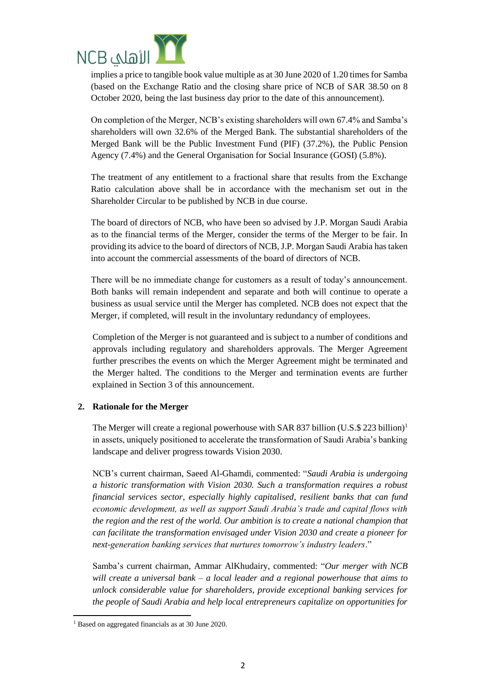

(based on the Exchange Ratio and the closing share price of NCB of SAR 38.50 on 8 October 2020, being the last business day prior to the date of this announcement).

On completion of the Merger, NCB's existing shareholders will own 67.4% and Samba's shareholders will own 32.6% of the Merged Bank. The substantial shareholders of the Merged Bank will be the Public Investment Fund (PIF) (37.2%), the Public Pension Agency (7.4%) and the General Organisation for Social Insurance (GOSI) (5.8%).

The treatment of any entitlement to a fractional share that results from the Exchange Ratio calculation above shall be in accordance with the mechanism set out in the Shareholder Circular to be published by NCB in due course.

The board of directors of NCB, who have been so advised by J.P. Morgan Saudi Arabia as to the financial terms of the Merger, consider the terms of the Merger to be fair. In providing its advice to the board of directors of NCB, J.P. Morgan Saudi Arabia has taken into account the commercial assessments of the board of directors of NCB.

There will be no immediate change for customers as a result of today's announcement. Both banks will remain independent and separate and both will continue to operate a business as usual service until the Merger has completed. NCB does not expect that the Merger, if completed, will result in the involuntary redundancy of employees.

Completion of the Merger is not guaranteed and is subject to a number of conditions and approvals including regulatory and shareholders approvals. The Merger Agreement further prescribes the events on which the Merger Agreement might be terminated and the Merger halted. The conditions to the Merger and termination events are further explained in Section 3 of this announcement.

#### **2. Rationale for the Merger**

The Merger will create a regional powerhouse with SAR 837 billion  $(U.S.S. 223$  billion)<sup>1</sup> in assets, uniquely positioned to accelerate the transformation of Saudi Arabia's banking landscape and deliver progress towards Vision 2030.

NCB's current chairman, Saeed Al-Ghamdi, commented: "*Saudi Arabia is undergoing a historic transformation with Vision 2030. Such a transformation requires a robust financial services sector, especially highly capitalised, resilient banks that can fund economic development, as well as support Saudi Arabia's trade and capital flows with the region and the rest of the world. Our ambition is to create a national champion that can facilitate the transformation envisaged under Vision 2030 and create a pioneer for next-generation banking services that nurtures tomorrow's industry leaders*."

Samba's current chairman, Ammar AlKhudairy, commented: "*Our merger with NCB will create a universal bank – a local leader and a regional powerhouse that aims to unlock considerable value for shareholders, provide exceptional banking services for the people of Saudi Arabia and help local entrepreneurs capitalize on opportunities for* 

<sup>1</sup> <sup>1</sup> Based on aggregated financials as at 30 June 2020.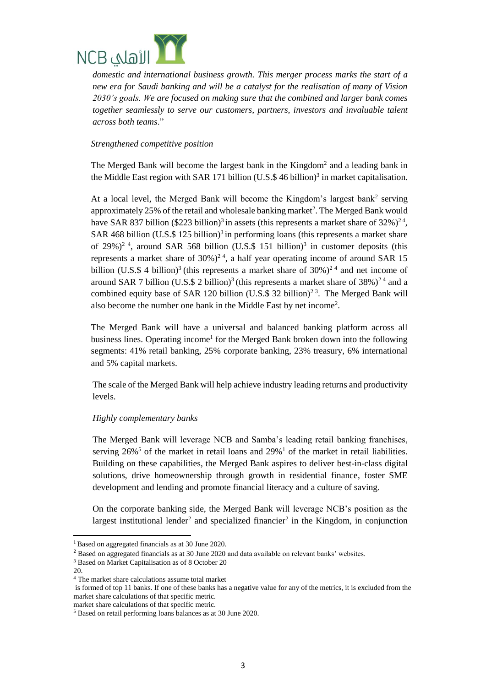

*new era for Saudi banking and will be a catalyst for the realisation of many of Vision 2030's goals. We are focused on making sure that the combined and larger bank comes together seamlessly to serve our customers, partners, investors and invaluable talent across both teams*."

#### *Strengthened competitive position*

The Merged Bank will become the largest bank in the Kingdom<sup>2</sup> and a leading bank in the Middle East region with SAR 171 billion (U.S.  $$$  46 billion)<sup>3</sup> in market capitalisation.

At a local level, the Merged Bank will become the Kingdom's largest bank<sup>2</sup> serving approximately 25% of the retail and wholesale banking market<sup>2</sup>. The Merged Bank would have SAR 837 billion (\$223 billion)<sup>3</sup> in assets (this represents a market share of  $32\frac{1}{2}$ <sup>24</sup>, SAR 468 billion (U.S.\$ 125 billion)<sup>3</sup> in performing loans (this represents a market share of 29%)<sup>2</sup><sup>4</sup>, around SAR 568 billion (U.S.\$ 151 billion)<sup>3</sup> in customer deposits (this represents a market share of  $30\%$ )<sup>24</sup>, a half year operating income of around SAR 15 billion (U.S.\$ 4 billion)<sup>3</sup> (this represents a market share of  $30\%$ )<sup>24</sup> and net income of around SAR 7 billion (U.S.\$ 2 billion)<sup>3</sup> (this represents a market share of  $38\%$ )<sup>24</sup> and a combined equity base of SAR 120 billion (U.S.\$ 32 billion)<sup>23</sup>. The Merged Bank will also become the number one bank in the Middle East by net income<sup>2</sup> .

The Merged Bank will have a universal and balanced banking platform across all business lines. Operating income<sup>1</sup> for the Merged Bank broken down into the following segments: 41% retail banking, 25% corporate banking, 23% treasury, 6% international and 5% capital markets.

The scale of the Merged Bank will help achieve industry leading returns and productivity levels.

# *Highly complementary banks*

The Merged Bank will leverage NCB and Samba's leading retail banking franchises, serving  $26\%$ <sup>5</sup> of the market in retail loans and  $29\%$ <sup>1</sup> of the market in retail liabilities. Building on these capabilities, the Merged Bank aspires to deliver best-in-class digital solutions, drive homeownership through growth in residential finance, foster SME development and lending and promote financial literacy and a culture of saving.

On the corporate banking side, the Merged Bank will leverage NCB's position as the largest institutional lender<sup>2</sup> and specialized financier<sup>2</sup> in the Kingdom, in conjunction

1

<sup>1</sup>Based on aggregated financials as at 30 June 2020.

<sup>2</sup> Based on aggregated financials as at 30 June 2020 and data available on relevant banks' websites.

<sup>&</sup>lt;sup>3</sup> Based on Market Capitalisation as of 8 October 20

<sup>20.</sup>

<sup>4</sup> The market share calculations assume total market

is formed of top 11 banks. If one of these banks has a negative value for any of the metrics, it is excluded from the market share calculations of that specific metric.

market share calculations of that specific metric.

<sup>5</sup> Based on retail performing loans balances as at 30 June 2020.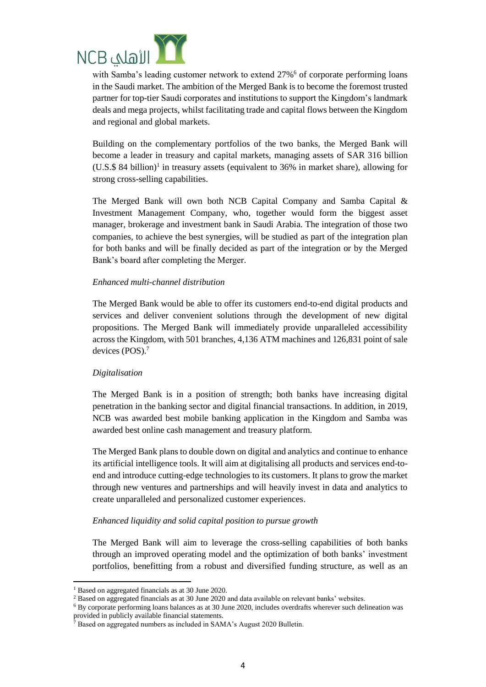

in the Saudi market. The ambition of the Merged Bank is to become the foremost trusted partner for top-tier Saudi corporates and institutions to support the Kingdom's landmark deals and mega projects, whilst facilitating trade and capital flows between the Kingdom and regional and global markets.

Building on the complementary portfolios of the two banks, the Merged Bank will become a leader in treasury and capital markets, managing assets of SAR 316 billion  $($ U.S.\$ 84 billion $)^1$  in treasury assets (equivalent to 36% in market share), allowing for strong cross-selling capabilities.

The Merged Bank will own both NCB Capital Company and Samba Capital & Investment Management Company, who, together would form the biggest asset manager, brokerage and investment bank in Saudi Arabia. The integration of those two companies, to achieve the best synergies, will be studied as part of the integration plan for both banks and will be finally decided as part of the integration or by the Merged Bank's board after completing the Merger.

### *Enhanced multi-channel distribution*

The Merged Bank would be able to offer its customers end-to-end digital products and services and deliver convenient solutions through the development of new digital propositions. The Merged Bank will immediately provide unparalleled accessibility across the Kingdom, with 501 branches, 4,136 ATM machines and 126,831 point of sale devices (POS).<sup>7</sup>

#### *Digitalisation*

The Merged Bank is in a position of strength; both banks have increasing digital penetration in the banking sector and digital financial transactions. In addition, in 2019, NCB was awarded best mobile banking application in the Kingdom and Samba was awarded best online cash management and treasury platform.

The Merged Bank plans to double down on digital and analytics and continue to enhance its artificial intelligence tools. It will aim at digitalising all products and services end-toend and introduce cutting-edge technologies to its customers. It plans to grow the market through new ventures and partnerships and will heavily invest in data and analytics to create unparalleled and personalized customer experiences.

#### *Enhanced liquidity and solid capital position to pursue growth*

The Merged Bank will aim to leverage the cross-selling capabilities of both banks through an improved operating model and the optimization of both banks' investment portfolios, benefitting from a robust and diversified funding structure, as well as an

**.** 

<sup>1</sup> Based on aggregated financials as at 30 June 2020.

<sup>&</sup>lt;sup>2</sup> Based on aggregated financials as at 30 June 2020 and data available on relevant banks' websites.

<sup>6</sup> By corporate performing loans balances as at 30 June 2020, includes overdrafts wherever such delineation was provided in publicly available financial statements.

 $7$  Based on aggregated numbers as included in SAMA's August 2020 Bulletin.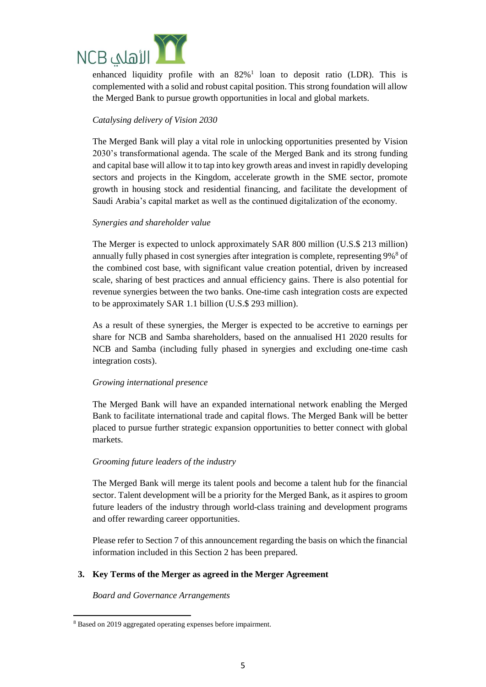

enhanced liquidity profile with an  $82\%$ <sup>1</sup> loan to deposit ratio (LDR). This is complemented with a solid and robust capital position. This strong foundation will allow the Merged Bank to pursue growth opportunities in local and global markets.

# *Catalysing delivery of Vision 2030*

The Merged Bank will play a vital role in unlocking opportunities presented by Vision 2030's transformational agenda. The scale of the Merged Bank and its strong funding and capital base will allow it to tap into key growth areas and invest in rapidly developing sectors and projects in the Kingdom, accelerate growth in the SME sector, promote growth in housing stock and residential financing, and facilitate the development of Saudi Arabia's capital market as well as the continued digitalization of the economy.

### *Synergies and shareholder value*

The Merger is expected to unlock approximately SAR 800 million (U.S.\$ 213 million) annually fully phased in cost synergies after integration is complete, representing 9%<sup>8</sup> of the combined cost base, with significant value creation potential, driven by increased scale, sharing of best practices and annual efficiency gains. There is also potential for revenue synergies between the two banks. One-time cash integration costs are expected to be approximately SAR 1.1 billion (U.S.\$ 293 million).

As a result of these synergies, the Merger is expected to be accretive to earnings per share for NCB and Samba shareholders, based on the annualised H1 2020 results for NCB and Samba (including fully phased in synergies and excluding one-time cash integration costs).

# *Growing international presence*

The Merged Bank will have an expanded international network enabling the Merged Bank to facilitate international trade and capital flows. The Merged Bank will be better placed to pursue further strategic expansion opportunities to better connect with global markets.

#### *Grooming future leaders of the industry*

The Merged Bank will merge its talent pools and become a talent hub for the financial sector. Talent development will be a priority for the Merged Bank, as it aspires to groom future leaders of the industry through world-class training and development programs and offer rewarding career opportunities.

Please refer to Section 7 of this announcement regarding the basis on which the financial information included in this Section 2 has been prepared.

#### **3. Key Terms of the Merger as agreed in the Merger Agreement**

*Board and Governance Arrangements* 

<sup>1</sup> <sup>8</sup> Based on 2019 aggregated operating expenses before impairment.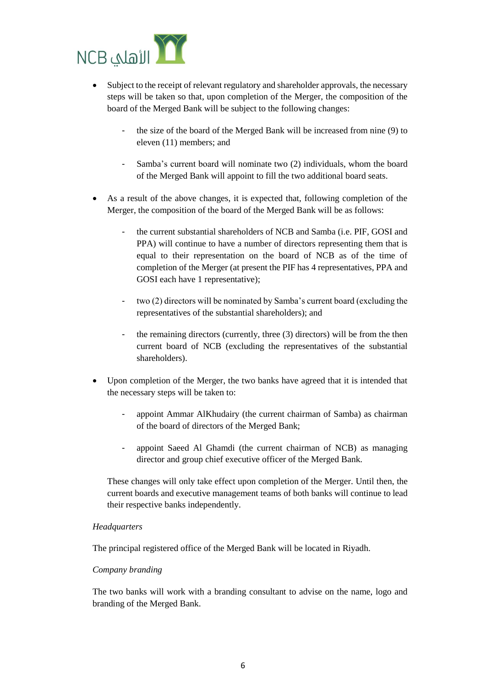

- Subject to the receipt of relevant regulatory and shareholder approvals, the necessary steps will be taken so that, upon completion of the Merger, the composition of the board of the Merged Bank will be subject to the following changes:
	- the size of the board of the Merged Bank will be increased from nine (9) to eleven (11) members; and
	- Samba's current board will nominate two (2) individuals, whom the board of the Merged Bank will appoint to fill the two additional board seats.
- As a result of the above changes, it is expected that, following completion of the Merger, the composition of the board of the Merged Bank will be as follows:
	- the current substantial shareholders of NCB and Samba (i.e. PIF, GOSI and PPA) will continue to have a number of directors representing them that is equal to their representation on the board of NCB as of the time of completion of the Merger (at present the PIF has 4 representatives, PPA and GOSI each have 1 representative);
	- two (2) directors will be nominated by Samba's current board (excluding the representatives of the substantial shareholders); and
	- the remaining directors (currently, three (3) directors) will be from the then current board of NCB (excluding the representatives of the substantial shareholders).
- Upon completion of the Merger, the two banks have agreed that it is intended that the necessary steps will be taken to:
	- appoint Ammar AlKhudairy (the current chairman of Samba) as chairman of the board of directors of the Merged Bank;
	- appoint Saeed Al Ghamdi (the current chairman of NCB) as managing director and group chief executive officer of the Merged Bank.

These changes will only take effect upon completion of the Merger. Until then, the current boards and executive management teams of both banks will continue to lead their respective banks independently.

#### *Headquarters*

The principal registered office of the Merged Bank will be located in Riyadh.

#### *Company branding*

The two banks will work with a branding consultant to advise on the name, logo and branding of the Merged Bank.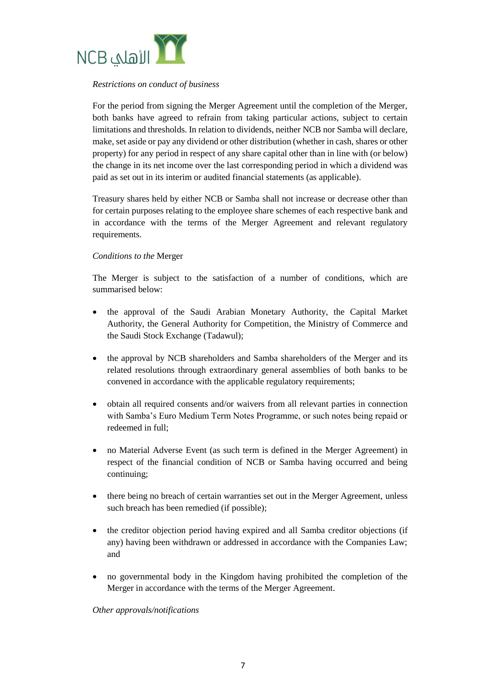

#### *Restrictions on conduct of business*

For the period from signing the Merger Agreement until the completion of the Merger, both banks have agreed to refrain from taking particular actions, subject to certain limitations and thresholds. In relation to dividends, neither NCB nor Samba will declare, make, set aside or pay any dividend or other distribution (whether in cash, shares or other property) for any period in respect of any share capital other than in line with (or below) the change in its net income over the last corresponding period in which a dividend was paid as set out in its interim or audited financial statements (as applicable).

Treasury shares held by either NCB or Samba shall not increase or decrease other than for certain purposes relating to the employee share schemes of each respective bank and in accordance with the terms of the Merger Agreement and relevant regulatory requirements.

### *Conditions to the* Merger

The Merger is subject to the satisfaction of a number of conditions, which are summarised below:

- the approval of the Saudi Arabian Monetary Authority, the Capital Market Authority, the General Authority for Competition, the Ministry of Commerce and the Saudi Stock Exchange (Tadawul);
- the approval by NCB shareholders and Samba shareholders of the Merger and its related resolutions through extraordinary general assemblies of both banks to be convened in accordance with the applicable regulatory requirements;
- obtain all required consents and/or waivers from all relevant parties in connection with Samba's Euro Medium Term Notes Programme, or such notes being repaid or redeemed in full;
- no Material Adverse Event (as such term is defined in the Merger Agreement) in respect of the financial condition of NCB or Samba having occurred and being continuing;
- there being no breach of certain warranties set out in the Merger Agreement, unless such breach has been remedied (if possible);
- the creditor objection period having expired and all Samba creditor objections (if any) having been withdrawn or addressed in accordance with the Companies Law; and
- no governmental body in the Kingdom having prohibited the completion of the Merger in accordance with the terms of the Merger Agreement.

*Other approvals/notifications*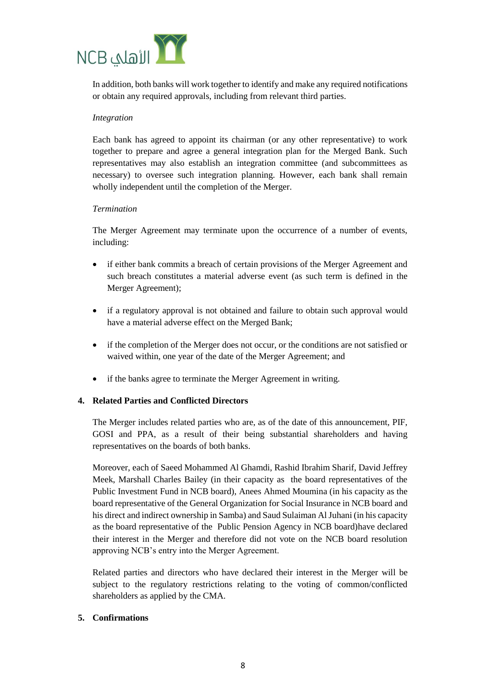

In addition, both banks will work together to identify and make any required notifications or obtain any required approvals, including from relevant third parties.

#### *Integration*

Each bank has agreed to appoint its chairman (or any other representative) to work together to prepare and agree a general integration plan for the Merged Bank. Such representatives may also establish an integration committee (and subcommittees as necessary) to oversee such integration planning. However, each bank shall remain wholly independent until the completion of the Merger.

### *Termination*

The Merger Agreement may terminate upon the occurrence of a number of events, including:

- if either bank commits a breach of certain provisions of the Merger Agreement and such breach constitutes a material adverse event (as such term is defined in the Merger Agreement);
- if a regulatory approval is not obtained and failure to obtain such approval would have a material adverse effect on the Merged Bank;
- if the completion of the Merger does not occur, or the conditions are not satisfied or waived within, one year of the date of the Merger Agreement; and
- if the banks agree to terminate the Merger Agreement in writing.

# **4. Related Parties and Conflicted Directors**

The Merger includes related parties who are, as of the date of this announcement, PIF, GOSI and PPA, as a result of their being substantial shareholders and having representatives on the boards of both banks.

Moreover, each of Saeed Mohammed Al Ghamdi, Rashid Ibrahim Sharif, David Jeffrey Meek, Marshall Charles Bailey (in their capacity as the board representatives of the Public Investment Fund in NCB board), Anees Ahmed Moumina (in his capacity as the board representative of the General Organization for Social Insurance in NCB board and his direct and indirect ownership in Samba) and Saud Sulaiman Al Juhani (in his capacity as the board representative of the Public Pension Agency in NCB board)have declared their interest in the Merger and therefore did not vote on the NCB board resolution approving NCB's entry into the Merger Agreement.

Related parties and directors who have declared their interest in the Merger will be subject to the regulatory restrictions relating to the voting of common/conflicted shareholders as applied by the CMA.

# **5. Confirmations**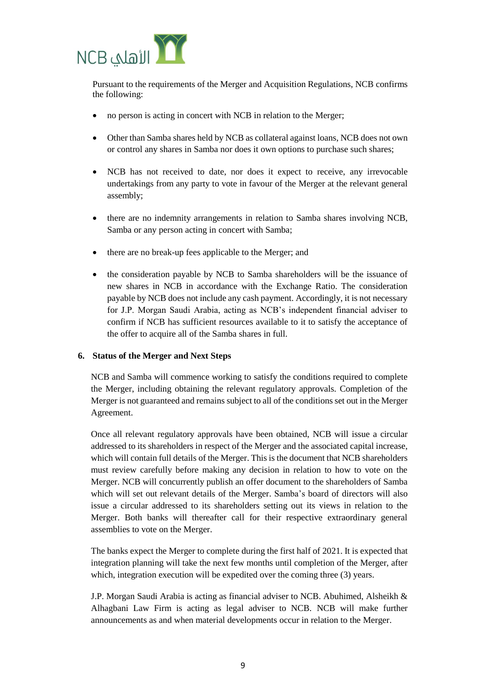

Pursuant to the requirements of the Merger and Acquisition Regulations, NCB confirms the following:

- no person is acting in concert with NCB in relation to the Merger;
- Other than Samba shares held by NCB as collateral against loans, NCB does not own or control any shares in Samba nor does it own options to purchase such shares;
- NCB has not received to date, nor does it expect to receive, any irrevocable undertakings from any party to vote in favour of the Merger at the relevant general assembly;
- there are no indemnity arrangements in relation to Samba shares involving NCB, Samba or any person acting in concert with Samba;
- there are no break-up fees applicable to the Merger; and
- the consideration payable by NCB to Samba shareholders will be the issuance of new shares in NCB in accordance with the Exchange Ratio. The consideration payable by NCB does not include any cash payment. Accordingly, it is not necessary for J.P. Morgan Saudi Arabia, acting as NCB's independent financial adviser to confirm if NCB has sufficient resources available to it to satisfy the acceptance of the offer to acquire all of the Samba shares in full.

#### **6. Status of the Merger and Next Steps**

NCB and Samba will commence working to satisfy the conditions required to complete the Merger, including obtaining the relevant regulatory approvals. Completion of the Merger is not guaranteed and remains subject to all of the conditions set out in the Merger Agreement.

Once all relevant regulatory approvals have been obtained, NCB will issue a circular addressed to its shareholders in respect of the Merger and the associated capital increase, which will contain full details of the Merger. This is the document that NCB shareholders must review carefully before making any decision in relation to how to vote on the Merger. NCB will concurrently publish an offer document to the shareholders of Samba which will set out relevant details of the Merger. Samba's board of directors will also issue a circular addressed to its shareholders setting out its views in relation to the Merger. Both banks will thereafter call for their respective extraordinary general assemblies to vote on the Merger.

The banks expect the Merger to complete during the first half of 2021. It is expected that integration planning will take the next few months until completion of the Merger, after which, integration execution will be expedited over the coming three (3) years.

J.P. Morgan Saudi Arabia is acting as financial adviser to NCB. Abuhimed, Alsheikh & Alhagbani Law Firm is acting as legal adviser to NCB. NCB will make further announcements as and when material developments occur in relation to the Merger.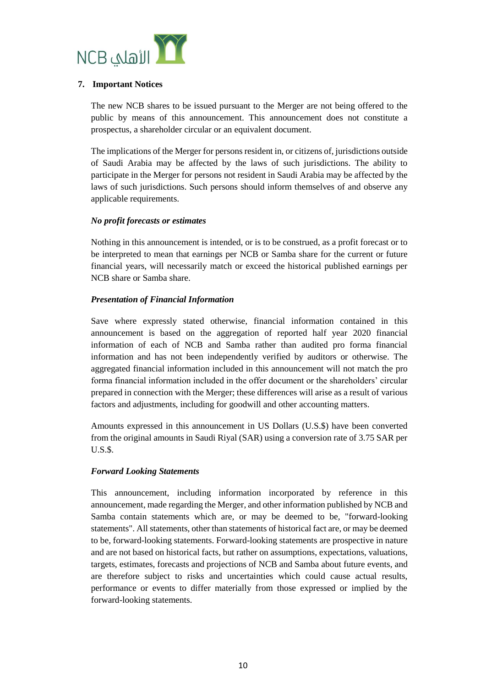

### **7. Important Notices**

The new NCB shares to be issued pursuant to the Merger are not being offered to the public by means of this announcement. This announcement does not constitute a prospectus, a shareholder circular or an equivalent document.

The implications of the Merger for persons resident in, or citizens of, jurisdictions outside of Saudi Arabia may be affected by the laws of such jurisdictions. The ability to participate in the Merger for persons not resident in Saudi Arabia may be affected by the laws of such jurisdictions. Such persons should inform themselves of and observe any applicable requirements.

### *No profit forecasts or estimates*

Nothing in this announcement is intended, or is to be construed, as a profit forecast or to be interpreted to mean that earnings per NCB or Samba share for the current or future financial years, will necessarily match or exceed the historical published earnings per NCB share or Samba share.

### *Presentation of Financial Information*

Save where expressly stated otherwise, financial information contained in this announcement is based on the aggregation of reported half year 2020 financial information of each of NCB and Samba rather than audited pro forma financial information and has not been independently verified by auditors or otherwise. The aggregated financial information included in this announcement will not match the pro forma financial information included in the offer document or the shareholders' circular prepared in connection with the Merger; these differences will arise as a result of various factors and adjustments, including for goodwill and other accounting matters.

Amounts expressed in this announcement in US Dollars (U.S.\$) have been converted from the original amounts in Saudi Riyal (SAR) using a conversion rate of 3.75 SAR per U.S.\$.

#### *Forward Looking Statements*

This announcement, including information incorporated by reference in this announcement, made regarding the Merger, and other information published by NCB and Samba contain statements which are, or may be deemed to be, "forward-looking statements". All statements, other than statements of historical fact are, or may be deemed to be, forward-looking statements. Forward-looking statements are prospective in nature and are not based on historical facts, but rather on assumptions, expectations, valuations, targets, estimates, forecasts and projections of NCB and Samba about future events, and are therefore subject to risks and uncertainties which could cause actual results, performance or events to differ materially from those expressed or implied by the forward-looking statements.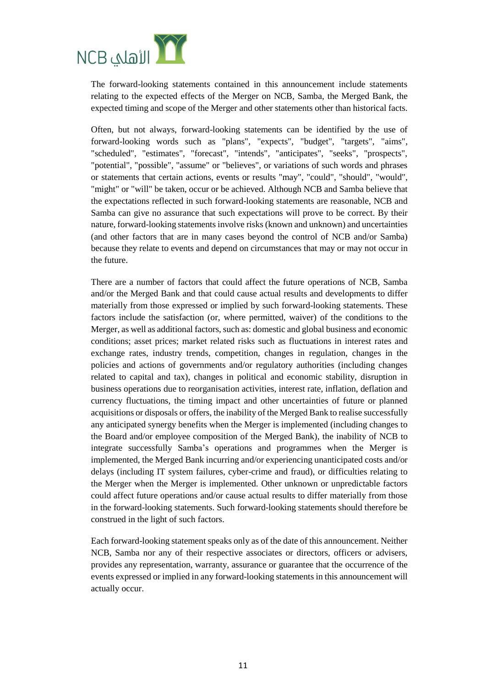

The forward-looking statements contained in this announcement include statements relating to the expected effects of the Merger on NCB, Samba, the Merged Bank, the expected timing and scope of the Merger and other statements other than historical facts.

Often, but not always, forward-looking statements can be identified by the use of forward-looking words such as "plans", "expects", "budget", "targets", "aims", "scheduled", "estimates", "forecast", "intends", "anticipates", "seeks", "prospects", "potential", "possible", "assume" or "believes", or variations of such words and phrases or statements that certain actions, events or results "may", "could", "should", "would", "might" or "will" be taken, occur or be achieved. Although NCB and Samba believe that the expectations reflected in such forward-looking statements are reasonable, NCB and Samba can give no assurance that such expectations will prove to be correct. By their nature, forward-looking statements involve risks (known and unknown) and uncertainties (and other factors that are in many cases beyond the control of NCB and/or Samba) because they relate to events and depend on circumstances that may or may not occur in the future.

There are a number of factors that could affect the future operations of NCB, Samba and/or the Merged Bank and that could cause actual results and developments to differ materially from those expressed or implied by such forward-looking statements. These factors include the satisfaction (or, where permitted, waiver) of the conditions to the Merger, as well as additional factors, such as: domestic and global business and economic conditions; asset prices; market related risks such as fluctuations in interest rates and exchange rates, industry trends, competition, changes in regulation, changes in the policies and actions of governments and/or regulatory authorities (including changes related to capital and tax), changes in political and economic stability, disruption in business operations due to reorganisation activities, interest rate, inflation, deflation and currency fluctuations, the timing impact and other uncertainties of future or planned acquisitions or disposals or offers, the inability of the Merged Bank to realise successfully any anticipated synergy benefits when the Merger is implemented (including changes to the Board and/or employee composition of the Merged Bank), the inability of NCB to integrate successfully Samba's operations and programmes when the Merger is implemented, the Merged Bank incurring and/or experiencing unanticipated costs and/or delays (including IT system failures, cyber-crime and fraud), or difficulties relating to the Merger when the Merger is implemented. Other unknown or unpredictable factors could affect future operations and/or cause actual results to differ materially from those in the forward-looking statements. Such forward-looking statements should therefore be construed in the light of such factors.

Each forward-looking statement speaks only as of the date of this announcement. Neither NCB, Samba nor any of their respective associates or directors, officers or advisers, provides any representation, warranty, assurance or guarantee that the occurrence of the events expressed or implied in any forward-looking statements in this announcement will actually occur.